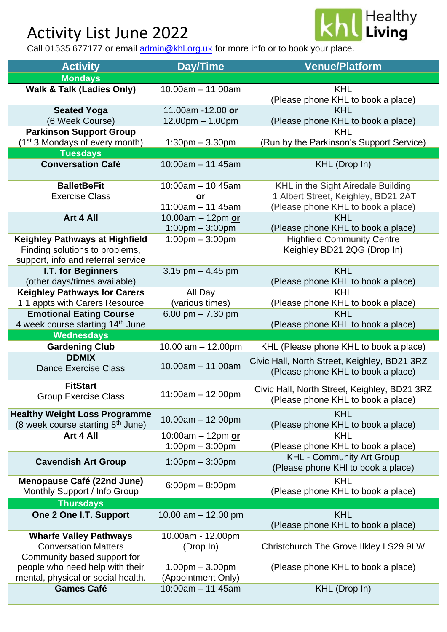## Activity List June 2022



Call 01535 677177 or email [admin@khl.org.uk](mailto:admin@khl.org.uk) for more info or to book your place.

| <b>Activity</b>                                                                             | <b>Day/Time</b>                         | <b>Venue/Platform</b>                                                              |
|---------------------------------------------------------------------------------------------|-----------------------------------------|------------------------------------------------------------------------------------|
| <b>Mondays</b>                                                                              |                                         |                                                                                    |
| <b>Walk &amp; Talk (Ladies Only)</b>                                                        | $10.00am - 11.00am$                     | <b>KHL</b><br>(Please phone KHL to book a place)                                   |
| <b>Seated Yoga</b>                                                                          | 11.00am -12.00 or                       | <b>KHL</b>                                                                         |
| (6 Week Course)                                                                             | $12.00pm - 1.00pm$                      | (Please phone KHL to book a place)                                                 |
| <b>Parkinson Support Group</b>                                                              |                                         | <b>KHL</b>                                                                         |
| (1 <sup>st</sup> 3 Mondays of every month)                                                  | $1:30$ pm $-3.30$ pm                    | (Run by the Parkinson's Support Service)                                           |
| <b>Tuesdays</b>                                                                             |                                         |                                                                                    |
| <b>Conversation Café</b>                                                                    | $10:00$ am $-11.45$ am                  | KHL (Drop In)                                                                      |
| <b>BalletBeFit</b>                                                                          | $10:00$ am $- 10:45$ am                 | KHL in the Sight Airedale Building                                                 |
| <b>Exercise Class</b>                                                                       | <u>or</u>                               | 1 Albert Street, Keighley, BD21 2AT                                                |
|                                                                                             | $11:00am - 11:45am$                     | (Please phone KHL to book a place)                                                 |
| Art 4 All                                                                                   | 10.00am - 12pm or                       | <b>KHL</b>                                                                         |
|                                                                                             | $1:00$ pm $-3:00$ pm                    | (Please phone KHL to book a place)                                                 |
| <b>Keighley Pathways at Highfield</b>                                                       | $1:00 \text{pm} - 3:00 \text{pm}$       | <b>Highfield Community Centre</b>                                                  |
| Finding solutions to problems,                                                              |                                         | Keighley BD21 2QG (Drop In)                                                        |
| support, info and referral service                                                          |                                         |                                                                                    |
| I.T. for Beginners                                                                          | 3.15 pm $-$ 4.45 pm                     | <b>KHL</b>                                                                         |
| (other days/times available)                                                                |                                         | (Please phone KHL to book a place)                                                 |
| <b>Keighley Pathways for Carers</b>                                                         | All Day                                 | <b>KHL</b>                                                                         |
| 1:1 appts with Carers Resource                                                              | (various times)                         | (Please phone KHL to book a place)                                                 |
| <b>Emotional Eating Course</b>                                                              | 6.00 pm $- 7.30$ pm                     | <b>KHL</b>                                                                         |
| 4 week course starting 14 <sup>th</sup> June                                                |                                         | (Please phone KHL to book a place)                                                 |
|                                                                                             |                                         |                                                                                    |
| <b>Wednesdays</b>                                                                           |                                         |                                                                                    |
| <b>Gardening Club</b>                                                                       | 10.00 $am - 12.00pm$                    | KHL (Please phone KHL to book a place)                                             |
| <b>DDMIX</b><br><b>Dance Exercise Class</b>                                                 | $10.00am - 11.00am$                     | Civic Hall, North Street, Keighley, BD21 3RZ<br>(Please phone KHL to book a place) |
| <b>FitStart</b><br><b>Group Exercise Class</b>                                              | $11:00am - 12:00pm$                     | Civic Hall, North Street, Keighley, BD21 3RZ<br>(Please phone KHL to book a place) |
| <b>Healthy Weight Loss Programme</b><br>(8 week course starting 8th June)                   | $10.00am - 12.00pm$                     | <b>KHL</b><br>(Please phone KHL to book a place)                                   |
| Art 4 All                                                                                   | 10:00am $-$ 12pm or                     | <b>KHL</b>                                                                         |
|                                                                                             | $1:00 \text{pm} - 3:00 \text{pm}$       | (Please phone KHL to book a place)                                                 |
| <b>Cavendish Art Group</b>                                                                  | $1:00$ pm $-3:00$ pm                    | <b>KHL - Community Art Group</b><br>(Please phone KHI to book a place)             |
| Menopause Café (22nd June)<br>Monthly Support / Info Group                                  | $6:00 \text{pm} - 8:00 \text{pm}$       | <b>KHL</b><br>(Please phone KHL to book a place)                                   |
| <b>Thursdays</b>                                                                            |                                         |                                                                                    |
| One 2 One I.T. Support                                                                      | 10.00 $am - 12.00$ pm                   | <b>KHL</b><br>(Please phone KHL to book a place)                                   |
| <b>Wharfe Valley Pathways</b><br><b>Conversation Matters</b><br>Community based support for | 10.00am - 12.00pm<br>(Drop In)          | Christchurch The Grove Ilkley LS29 9LW                                             |
| people who need help with their<br>mental, physical or social health.                       | $1.00pm - 3.00pm$<br>(Appointment Only) | (Please phone KHL to book a place)                                                 |